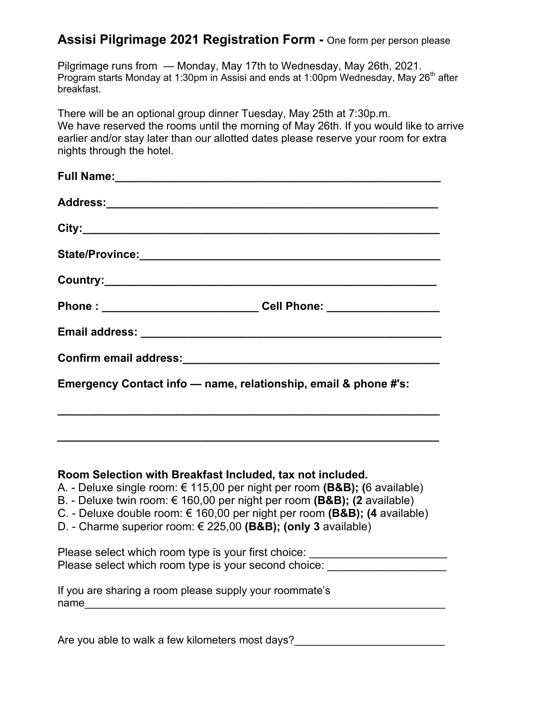## **Assisi Pilgrimage 2021 Registration Form -** One form per person please

Pilgrimage runs from — Monday, May 17th to Wednesday, May 26th, 2021. Program starts Monday at 1:30pm in Assisi and ends at 1:00pm Wednesday, May  $26<sup>th</sup>$  after breakfast.

There will be an optional group dinner Tuesday, May 25th at 7:30p.m. We have reserved the rooms until the morning of May 26th. If you would like to arrive earlier and/or stay later than our allotted dates please reserve your room for extra nights through the hotel.

| Phone : ______________________________Cell Phone: ___________________ |
|-----------------------------------------------------------------------|
|                                                                       |
|                                                                       |
| Emergency Contact info - name, relationship, email & phone #'s:       |

## **Room Selection with Breakfast Included, tax not included.**

- A. Deluxe single room: € 115,00 per night per room **(B&B); (**6 available)
- B. Deluxe twin room: € 160,00 per night per room **(B&B); (2** available)
- C. Deluxe double room: € 160,00 per night per room **(B&B); (4** available)
- D. Charme superior room: € 225,00 **(B&B); (only 3** available)

| Please select which room type is your first choice:  |  |
|------------------------------------------------------|--|
| Please select which room type is your second choice: |  |

|      | If you are sharing a room please supply your roommate's |
|------|---------------------------------------------------------|
| name |                                                         |

Are you able to walk a few kilometers most days?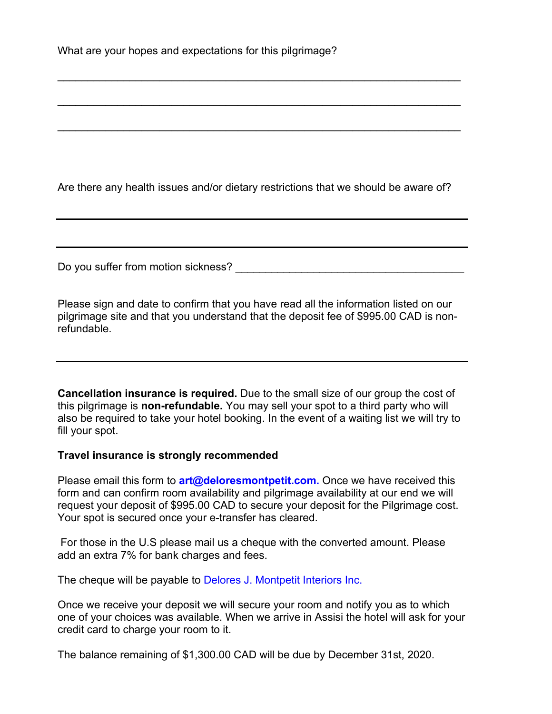Are there any health issues and/or dietary restrictions that we should be aware of?

 $\mathcal{L}_\text{max}$  and  $\mathcal{L}_\text{max}$  and  $\mathcal{L}_\text{max}$  and  $\mathcal{L}_\text{max}$  and  $\mathcal{L}_\text{max}$  and  $\mathcal{L}_\text{max}$ 

\_\_\_\_\_\_\_\_\_\_\_\_\_\_\_\_\_\_\_\_\_\_\_\_\_\_\_\_\_\_\_\_\_\_\_\_\_\_\_\_\_\_\_\_\_\_\_\_\_\_\_\_\_\_\_\_\_\_\_\_\_\_\_\_\_\_\_

 $\mathcal{L}_\text{max}$  and  $\mathcal{L}_\text{max}$  and  $\mathcal{L}_\text{max}$  and  $\mathcal{L}_\text{max}$  and  $\mathcal{L}_\text{max}$  and  $\mathcal{L}_\text{max}$ 

Do you suffer from motion sickness? **Example 20** and the state of the state of the state of the state of the state of the state of the state of the state of the state of the state of the state of the state of the state of

Please sign and date to confirm that you have read all the information listed on our pilgrimage site and that you understand that the deposit fee of \$995.00 CAD is nonrefundable.

**Cancellation insurance is required.** Due to the small size of our group the cost of this pilgrimage is **non-refundable.** You may sell your spot to a third party who will also be required to take your hotel booking. In the event of a waiting list we will try to fill your spot.

## **Travel insurance is strongly recommended**

Please email this form to **art@deloresmontpetit.com.** Once we have received this form and can confirm room availability and pilgrimage availability at our end we will request your deposit of \$995.00 CAD to secure your deposit for the Pilgrimage cost. Your spot is secured once your e-transfer has cleared.

 For those in the U.S please mail us a cheque with the converted amount. Please add an extra 7% for bank charges and fees.

The cheque will be payable to Delores J. Montpetit Interiors Inc.

Once we receive your deposit we will secure your room and notify you as to which one of your choices was available. When we arrive in Assisi the hotel will ask for your credit card to charge your room to it.

The balance remaining of \$1,300.00 CAD will be due by December 31st, 2020.